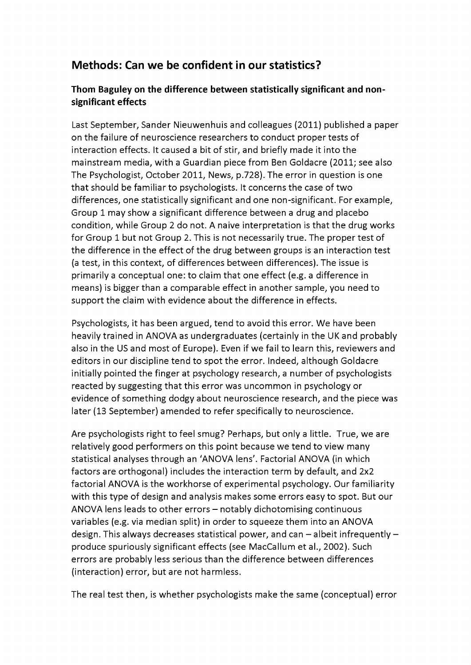## **Methods: Can we be confident in our statistics?**

## Thom Baguley on the difference between statistically significant and non**significant effects**

Last September, Sander Nieuwenhuis and colleagues (2011) published a paper on the failure of neuroscience researchers to conduct proper tests of interaction effects. It caused a bit of stir, and briefly made it into the mainstream media, with a Guardian piece from Ben Goldacre (2011; see also The Psychologist, October 2011, News, p.728). The error in question is one that should be familiar to psychologists. It concerns the case of two differences, one statistically significant and one non-significant. For example, Group 1 may show a significant difference between a drug and placebo condition, while Group 2 do not. A naive interpretation is that the drug works for Group 1 but not Group 2. This is not necessarily true. The proper test of the difference in the effect of the drug between groups is an interaction test (a test, in this context, of differences between differences). The issue is primarily a conceptual one: to claim that one effect (e.g. a difference in means) is bigger than a comparable effect in another sample, you need to support the claim with evidence about the difference in effects.

Psychologists, it has been argued, tend to avoid this error. We have been heavily trained in ANOVA as undergraduates (certainly in the UK and probably also in the US and most of Europe). Even if we fail to learn this, reviewers and editors in our discipline tend to spot the error. Indeed, although Goldacre initially pointed the finger at psychology research, a number of psychologists reacted by suggesting that this error was uncommon in psychology or evidence of something dodgy about neuroscience research, and the piece was later (13 September) amended to refer specifically to neuroscience.

Are psychologists right to feel smug? Perhaps, but only a little. True, we are relatively good performers on this point because we tend to view many statistical analyses through an 'ANOVA lens'. Factorial ANOVA (in which factors are orthogonal) includes the interaction term by default, and 2x2 factorial ANOVA is the workhorse of experimental psychology. Our familiarity with this type of design and analysis makes some errors easy to spot. But our ANOVA lens leads to other errors - notably dichotomising continuous variables (e.g. via median split) in order to squeeze them into an ANOVA design. This always decreases statistical power, and can  $-$  albeit infrequently  $$ produce spuriously significant effects (see MacCallum et al., 2002). Such errors are probably less serious than the difference between differences (interaction) error, but are not harmless.

The real test then, is whether psychologists make the same (conceptual) error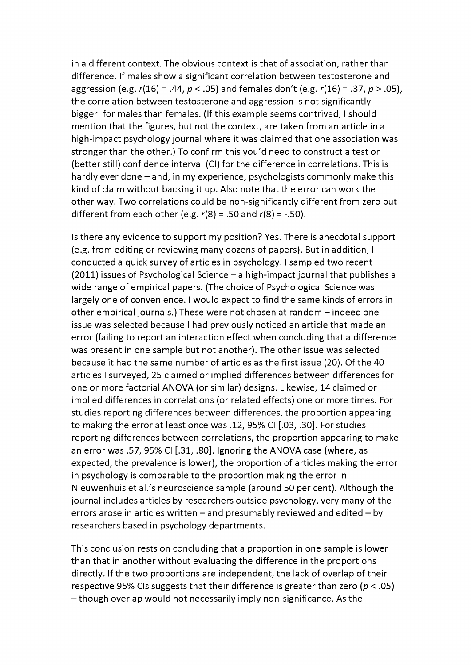in a different context. The obvious context is that of association, rather than difference. If males show a significant correlation between testosterone and aggression (e.g.  $r(16) = .44$ ,  $p < .05$ ) and females don't (e.g.  $r(16) = .37$ ,  $p > .05$ ), the correlation between testosterone and aggression is not significantly bigger for males than females. (If this example seems contrived, I should mention that the figures, but not the context, are taken from an article in a high-impact psychology journal where it was claimed that one association was stronger than the other.) To confirm this you'd need to construct a test or (better still) confidence interval (CI) for the difference in correlations. This is hardly ever done  $-$  and, in my experience, psychologists commonly make this kind of claim without backing it up. Also note that the error can work the other way. Two correlations could be non-significantly different from zero but different from each other (e.g.  $r(8) = .50$  and  $r(8) = -.50$ ).

Is there any evidence to support my position? Yes. There is anecdotal support (e.g. from editing or reviewing many dozens of papers). But in addition, I conducted a quick survey of articles in psychology. I sampled two recent  $(2011)$  issues of Psychological Science  $-$  a high-impact journal that publishes a wide range of empirical papers. (The choice of Psychological Science was largely one of convenience. I would expect to find the same kinds of errors in other empirical journals.) These were not chosen at random - indeed one issue was selected because I had previously noticed an article that made an error (failing to report an interaction effect when concluding that a difference was present in one sample but not another). The other issue was selected because it had the same number of articles as the first issue (20). Of the 40 articles I surveyed, 25 claimed or implied differences between differences for one or more factorial ANOVA (or similar) designs. Likewise, 14 claimed or implied differences in correlations (or related effects) one or more times. For studies reporting differences between differences, the proportion appearing to making the error at least once was .12, 95% CI [.03, .30]. For studies reporting differences between correlations, the proportion appearing to make an error was .57, 95% CI [.31, .80]. Ignoring the ANOVA case (where, as expected, the prevalence is lower), the proportion of articles making the error in psychology is comparable to the proportion making the error in Nieuwenhuis et al.'s neuroscience sample (around 50 per cent). Although the journal includes articles by researchers outside psychology, very many of the errors arose in articles written  $-$  and presumably reviewed and edited  $-$  by researchers based in psychology departments.

This conclusion rests on concluding that a proportion in one sample is lower than that in another without evaluating the difference in the proportions directly. If the two proportions are independent, the lack of overlap of their respective 95% CIs suggests that their difference is greater than zero ( $p < .05$ ) - though overlap would not necessarily imply non-significance. As the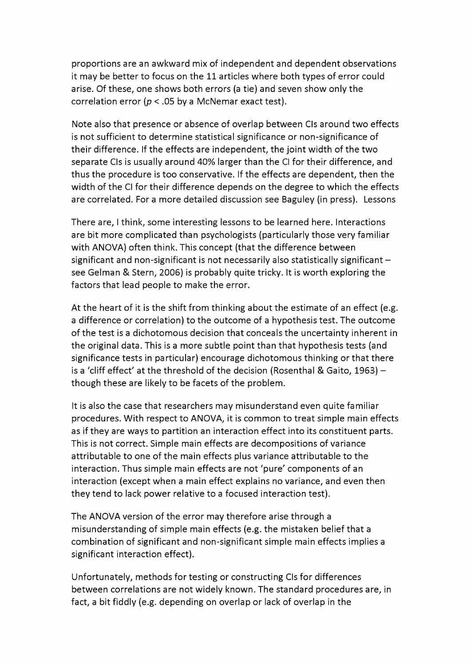proportions are an awkward mix of independent and dependent observations it may be better to focus on the 11 articles where both types of error could arise. Of these, one shows both errors (a tie) and seven show only the correlation error ( $p < .05$  by a McNemar exact test).

Note also that presence or absence of overlap between CIs around two effects is not sufficient to determine statistical significance or non-significance of their difference. If the effects are independent, the joint width of the two separate CIs is usually around 40% larger than the CI for their difference, and thus the procedure is too conservative. If the effects are dependent, then the width of the CI for their difference depends on the degree to which the effects are correlated. For a more detailed discussion see Baguley (in press). Lessons

There are, I think, some interesting lessons to be learned here. Interactions are bit more complicated than psychologists (particularly those very familiar with ANOVA) often think. This concept (that the difference between significant and non-significant is not necessarily also statistically significant  $$ see Gelman & Stern, 2006) is probably quite tricky. It is worth exploring the factors that lead people to make the error.

At the heart of it is the shift from thinking about the estimate of an effect (e.g. a difference or correlation) to the outcome of a hypothesis test. The outcome of the test is a dichotomous decision that conceals the uncertainty inherent in the original data. This is a more subtle point than that hypothesis tests (and significance tests in particular) encourage dichotomous thinking or that there is a 'cliff effect' at the threshold of the decision (Rosenthal & Gaito, 1963) though these are likely to be facets of the problem.

It is also the case that researchers may misunderstand even quite familiar procedures. With respect to ANOVA, it is common to treat simple main effects as if they are ways to partition an interaction effect into its constituent parts. This is not correct. Simple main effects are decompositions of variance attributable to one of the main effects plus variance attributable to the interaction. Thus simple main effects are not 'pure' components of an interaction (except when a main effect explains no variance, and even then they tend to lack power relative to a focused interaction test).

The ANOVA version of the error may therefore arise through a misunderstanding of simple main effects (e.g. the mistaken belief that a combination of significant and non-significant simple main effects implies a significant interaction effect).

Unfortunately, methods for testing or constructing CIs for differences between correlations are not widely known. The standard procedures are, in fact, a bit fiddly (e.g. depending on overlap or lack of overlap in the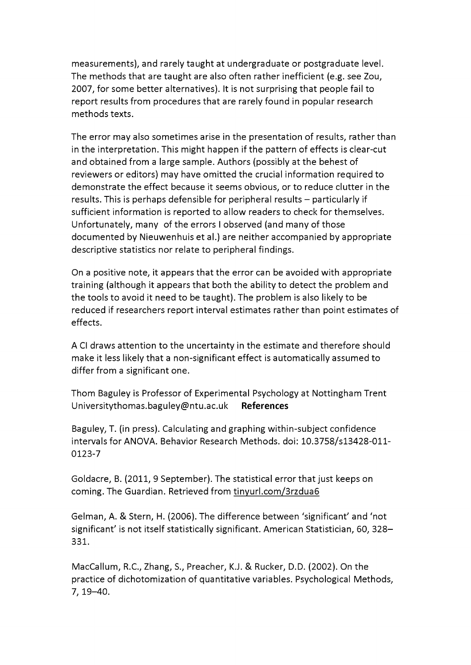measurements), and rarely taught at undergraduate or postgraduate level. The methods that are taught are also often rather inefficient (e.g. see Zou, 2007, for some better alternatives). It is not surprising that people fail to report results from procedures that are rarely found in popular research methods texts.

The error may also sometimes arise in the presentation of results, rather than in the interpretation. This might happen if the pattern of effects is clear-cut and obtained from a large sample. Authors (possibly at the behest of reviewers or editors) may have omitted the crucial information required to demonstrate the effect because it seems obvious, or to reduce clutter in the results. This is perhaps defensible for peripheral results – particularly if sufficient information is reported to allow readers to check for themselves. Unfortunately, many of the errors I observed (and many of those documented by Nieuwenhuis et al.) are neither accompanied by appropriate descriptive statistics nor relate to peripheral findings.

On a positive note, it appears that the error can be avoided with appropriate training (although it appears that both the ability to detect the problem and the tools to avoid it need to be taught). The problem is also likely to be reduced if researchers report interval estimates rather than point estimates of effects.

A CI draws attention to the uncertainty in the estimate and therefore should make it less likely that a non-significant effect is automatically assumed to differ from a significant one.

Thom Baguley is Professor of Experimental Psychology at Nottingham Trent [Universitythomas.baguley@ntu.ac.uk](mailto:Universitythomas.baguley@ntu.ac.uk) **References** 

Baguley, T. (in press). Calculating and graphing within-subject confidence intervals for ANOVA. Behavior Research Methods, doi: 10.3758/sl3428-011- 0123-7

Goldacre, B. (2011, 9 September). The statistical error that just keeps on coming. The Guardian. Retrieved from [tinyurl.com/3rzdua6](http://tinyurl.com/3rzdua6)

Gelman, A. & Stern, H. (2006). The difference between 'significant' and 'not significant' is not itself statistically significant. American Statistician, 60, 328- 331.

MacCallum, R.C., Zhang, S., Preacher, K.J. & Rucker, D.D. (2002). On the practice of dichotomization of quantitative variables. Psychological Methods, 7, 19-40.